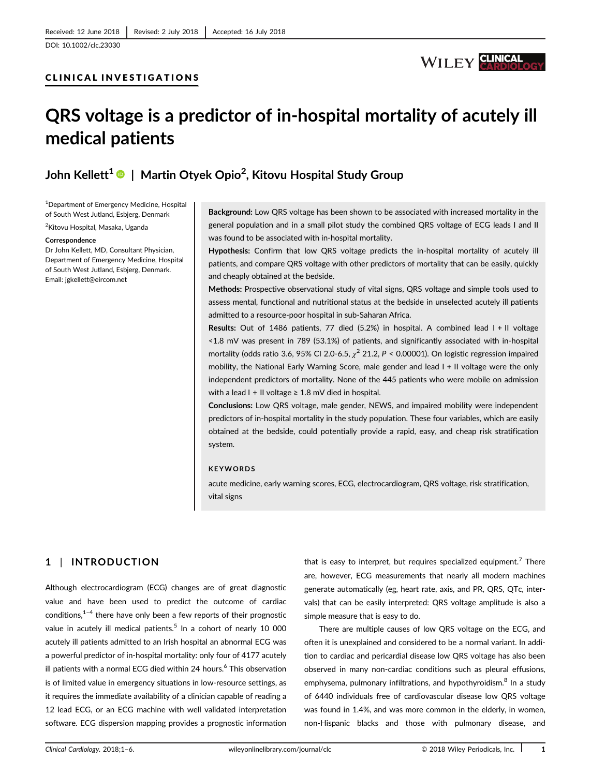

# QRS voltage is a predictor of in-hospital mortality of acutely ill medical patients

## John Kellett $^{\mathbf 1}$   $\mathbf 0$   $\mid$  Martin Otyek Opio $^{\mathbf 2}$ , Kitovu Hospital Study Group

1 Department of Emergency Medicine, Hospital of South West Jutland, Esbjerg, Denmark 2 Kitovu Hospital, Masaka, Uganda

### **Correspondence**

Dr John Kellett, MD, Consultant Physician, Department of Emergency Medicine, Hospital of South West Jutland, Esbjerg, Denmark. Email: [jgkellett@eircom.net](mailto:jgkellett@eircom.net)

Background: Low QRS voltage has been shown to be associated with increased mortality in the general population and in a small pilot study the combined QRS voltage of ECG leads I and II was found to be associated with in-hospital mortality.

Hypothesis: Confirm that low QRS voltage predicts the in-hospital mortality of acutely ill patients, and compare QRS voltage with other predictors of mortality that can be easily, quickly and cheaply obtained at the bedside.

Methods: Prospective observational study of vital signs, QRS voltage and simple tools used to assess mental, functional and nutritional status at the bedside in unselected acutely ill patients admitted to a resource-poor hospital in sub-Saharan Africa.

Results: Out of 1486 patients, 77 died (5.2%) in hospital. A combined lead I + II voltage <1.8 mV was present in 789 (53.1%) of patients, and significantly associated with in-hospital mortality (odds ratio 3.6, 95% CI 2.0-6.5,  $\chi^2$  21.2, P < 0.00001). On logistic regression impaired mobility, the National Early Warning Score, male gender and lead I + II voltage were the only independent predictors of mortality. None of the 445 patients who were mobile on admission with a lead I + II voltage  $\geq 1.8$  mV died in hospital.

Conclusions: Low QRS voltage, male gender, NEWS, and impaired mobility were independent predictors of in-hospital mortality in the study population. These four variables, which are easily obtained at the bedside, could potentially provide a rapid, easy, and cheap risk stratification system.

#### **KEYWORDS**

acute medicine, early warning scores, ECG, electrocardiogram, QRS voltage, risk stratification, vital signs

### 1 | INTRODUCTION

Although electrocardiogram (ECG) changes are of great diagnostic value and have been used to predict the outcome of cardiac conditions, $1-4$  there have only been a few reports of their prognostic value in acutely ill medical patients.<sup>5</sup> In a cohort of nearly 10 000 acutely ill patients admitted to an Irish hospital an abnormal ECG was a powerful predictor of in-hospital mortality: only four of 4177 acutely ill patients with a normal ECG died within 24 hours.<sup>6</sup> This observation is of limited value in emergency situations in low-resource settings, as it requires the immediate availability of a clinician capable of reading a 12 lead ECG, or an ECG machine with well validated interpretation software. ECG dispersion mapping provides a prognostic information

that is easy to interpret, but requires specialized equipment.<sup>7</sup> There are, however, ECG measurements that nearly all modern machines generate automatically (eg, heart rate, axis, and PR, QRS, QTc, intervals) that can be easily interpreted: QRS voltage amplitude is also a simple measure that is easy to do.

There are multiple causes of low QRS voltage on the ECG, and often it is unexplained and considered to be a normal variant. In addition to cardiac and pericardial disease low QRS voltage has also been observed in many non-cardiac conditions such as pleural effusions, emphysema, pulmonary infiltrations, and hypothyroidism.<sup>8</sup> In a study of 6440 individuals free of cardiovascular disease low QRS voltage was found in 1.4%, and was more common in the elderly, in women, non-Hispanic blacks and those with pulmonary disease, and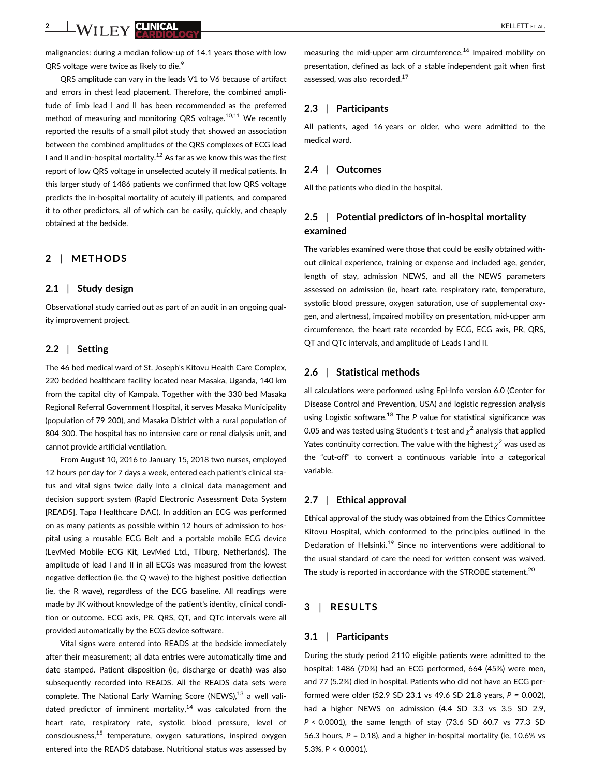<u>2 WII FV CUNICAL AND CONTRACT CONTRACT CONTRACT CONTRACT CONTRACT CONTRACT CONTRACT CONTRACT CONTRACT CONTRACT CONTRACT CONTRACT CONTRACT CONTRACT CONTRACT CONTRACT CONTRACT CONTRACT CONTRACT CONTRACT CONTRACT CONTRACT CO</u>

malignancies: during a median follow-up of 14.1 years those with low QRS voltage were twice as likely to die.<sup>9</sup>

QRS amplitude can vary in the leads V1 to V6 because of artifact and errors in chest lead placement. Therefore, the combined amplitude of limb lead I and II has been recommended as the preferred method of measuring and monitoring QRS voltage.<sup>10,11</sup> We recently reported the results of a small pilot study that showed an association between the combined amplitudes of the QRS complexes of ECG lead I and II and in-hospital mortality.<sup>12</sup> As far as we know this was the first report of low QRS voltage in unselected acutely ill medical patients. In this larger study of 1486 patients we confirmed that low QRS voltage predicts the in-hospital mortality of acutely ill patients, and compared it to other predictors, all of which can be easily, quickly, and cheaply obtained at the bedside.

### 2 | METHODS

### 2.1 | Study design

Observational study carried out as part of an audit in an ongoing quality improvement project.

### 2.2 | Setting

The 46 bed medical ward of St. Joseph's Kitovu Health Care Complex, 220 bedded healthcare facility located near Masaka, Uganda, 140 km from the capital city of Kampala. Together with the 330 bed Masaka Regional Referral Government Hospital, it serves Masaka Municipality (population of 79 200), and Masaka District with a rural population of 804 300. The hospital has no intensive care or renal dialysis unit, and cannot provide artificial ventilation.

From August 10, 2016 to January 15, 2018 two nurses, employed 12 hours per day for 7 days a week, entered each patient's clinical status and vital signs twice daily into a clinical data management and decision support system (Rapid Electronic Assessment Data System [READS], Tapa Healthcare DAC). In addition an ECG was performed on as many patients as possible within 12 hours of admission to hospital using a reusable ECG Belt and a portable mobile ECG device (LevMed Mobile ECG Kit, LevMed Ltd., Tilburg, Netherlands). The amplitude of lead I and II in all ECGs was measured from the lowest negative deflection (ie, the Q wave) to the highest positive deflection (ie, the R wave), regardless of the ECG baseline. All readings were made by JK without knowledge of the patient's identity, clinical condition or outcome. ECG axis, PR, QRS, QT, and QTc intervals were all provided automatically by the ECG device software.

Vital signs were entered into READS at the bedside immediately after their measurement; all data entries were automatically time and date stamped. Patient disposition (ie, discharge or death) was also subsequently recorded into READS. All the READS data sets were complete. The National Early Warning Score (NEWS), $13$  a well validated predictor of imminent mortality, $14$  was calculated from the heart rate, respiratory rate, systolic blood pressure, level of consciousness,<sup>15</sup> temperature, oxygen saturations, inspired oxygen entered into the READS database. Nutritional status was assessed by

measuring the mid-upper arm circumference.<sup>16</sup> Impaired mobility on presentation, defined as lack of a stable independent gait when first assessed, was also recorded.<sup>17</sup>

### 2.3 | Participants

All patients, aged 16 years or older, who were admitted to the medical ward.

### 2.4 | Outcomes

All the patients who died in the hospital.

### 2.5 | Potential predictors of in-hospital mortality examined

The variables examined were those that could be easily obtained without clinical experience, training or expense and included age, gender, length of stay, admission NEWS, and all the NEWS parameters assessed on admission (ie, heart rate, respiratory rate, temperature, systolic blood pressure, oxygen saturation, use of supplemental oxygen, and alertness), impaired mobility on presentation, mid-upper arm circumference, the heart rate recorded by ECG, ECG axis, PR, QRS, QT and QTc intervals, and amplitude of Leads I and II.

### 2.6 | Statistical methods

all calculations were performed using Epi-Info version 6.0 (Center for Disease Control and Prevention, USA) and logistic regression analysis using Logistic software.<sup>18</sup> The P value for statistical significance was 0.05 and was tested using Student's t-test and  $\chi^2$  analysis that applied Yates continuity correction. The value with the highest  $\chi^2$  was used as the "cut-off" to convert a continuous variable into a categorical variable.

#### 2.7 | Ethical approval

Ethical approval of the study was obtained from the Ethics Committee Kitovu Hospital, which conformed to the principles outlined in the Declaration of Helsinki.<sup>19</sup> Since no interventions were additional to the usual standard of care the need for written consent was waived. The study is reported in accordance with the STROBE statement.<sup>20</sup>

### 3 | RESULTS

### 3.1 | Participants

During the study period 2110 eligible patients were admitted to the hospital: 1486 (70%) had an ECG performed, 664 (45%) were men, and 77 (5.2%) died in hospital. Patients who did not have an ECG performed were older (52.9 SD 23.1 vs 49.6 SD 21.8 years, P = 0.002), had a higher NEWS on admission (4.4 SD 3.3 vs 3.5 SD 2.9, P < 0.0001), the same length of stay (73.6 SD 60.7 vs 77.3 SD 56.3 hours,  $P = 0.18$ ), and a higher in-hospital mortality (ie, 10.6% vs 5.3%, P < 0.0001).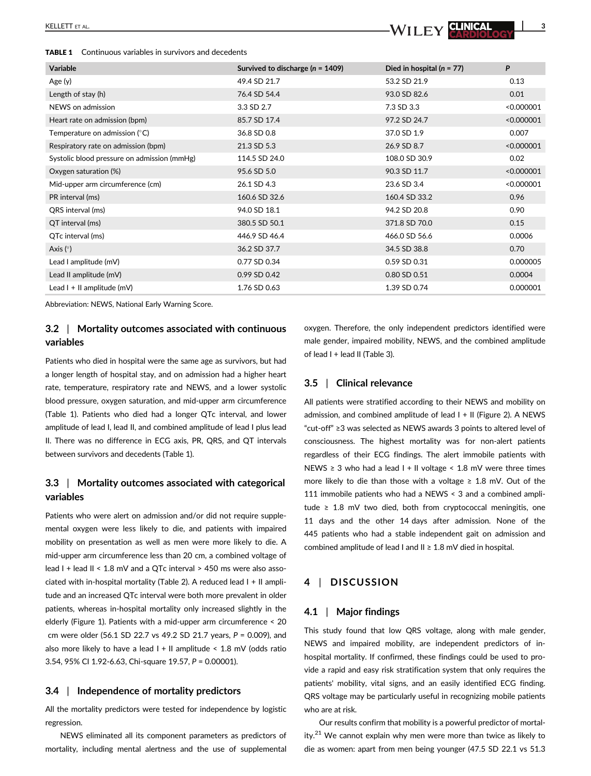TABLE 1 Continuous variables in survivors and decedents



| <b>Variable</b>                             | Survived to discharge ( $n = 1409$ ) | Died in hospital ( $n = 77$ ) | P          |
|---------------------------------------------|--------------------------------------|-------------------------------|------------|
| Age (y)                                     | 49.4 SD 21.7                         | 53.2 SD 21.9                  | 0.13       |
| Length of stay (h)                          | 76.4 SD 54.4                         | 93.0 SD 82.6                  | 0.01       |
| NEWS on admission                           | 3.3 SD 2.7                           | 7.3 SD 3.3                    | < 0.000001 |
| Heart rate on admission (bpm)               | 85.7 SD 17.4                         | 97.2 SD 24.7                  | < 0.000001 |
| Temperature on admission $(°C)$             | 36.8 SD 0.8                          | 37.0 SD 1.9                   | 0.007      |
| Respiratory rate on admission (bpm)         | 21.3 SD 5.3                          | 26.9 SD 8.7                   | < 0.000001 |
| Systolic blood pressure on admission (mmHg) | 114.5 SD 24.0                        | 108.0 SD 30.9                 | 0.02       |
| Oxygen saturation (%)                       | 95.6 SD 5.0                          | 90.3 SD 11.7                  | < 0.000001 |
| Mid-upper arm circumference (cm)            | 26.1 SD 4.3                          | 23.6 SD 3.4                   | < 0.000001 |
| PR interval (ms)                            | 160.6 SD 32.6                        | 160.4 SD 33.2                 | 0.96       |
| QRS interval (ms)                           | 94.0 SD 18.1                         | 94.2 SD 20.8                  | 0.90       |
| QT interval (ms)                            | 380.5 SD 50.1                        | 371.8 SD 70.0                 | 0.15       |
| QTc interval (ms)                           | 446.9 SD 46.4                        | 466.0 SD 56.6                 | 0.0006     |
| Axis $(°)$                                  | 36.2 SD 37.7                         | 34.5 SD 38.8                  | 0.70       |
| Lead I amplitude (mV)                       | 0.77 SD 0.34                         | 0.59 SD 0.31                  | 0.000005   |
| Lead II amplitude (mV)                      | 0.99 SD 0.42                         | 0.80 SD 0.51                  | 0.0004     |
| Lead $I + II$ amplitude (mV)                | 1.76 SD 0.63                         | 1.39 SD 0.74                  | 0.000001   |
|                                             |                                      |                               |            |

Abbreviation: NEWS, National Early Warning Score.

### 3.2 | Mortality outcomes associated with continuous variables

Patients who died in hospital were the same age as survivors, but had a longer length of hospital stay, and on admission had a higher heart rate, temperature, respiratory rate and NEWS, and a lower systolic blood pressure, oxygen saturation, and mid-upper arm circumference (Table 1). Patients who died had a longer QTc interval, and lower amplitude of lead I, lead II, and combined amplitude of lead I plus lead II. There was no difference in ECG axis, PR, QRS, and QT intervals between survivors and decedents (Table 1).

### 3.3 | Mortality outcomes associated with categorical variables

Patients who were alert on admission and/or did not require supplemental oxygen were less likely to die, and patients with impaired mobility on presentation as well as men were more likely to die. A mid-upper arm circumference less than 20 cm, a combined voltage of lead I + lead II < 1.8 mV and a QTc interval > 450 ms were also associated with in-hospital mortality (Table 2). A reduced lead I + II amplitude and an increased QTc interval were both more prevalent in older patients, whereas in-hospital mortality only increased slightly in the elderly (Figure 1). Patients with a mid-upper arm circumference < 20 cm were older (56.1 SD 22.7 vs 49.2 SD 21.7 years, P = 0.009), and also more likely to have a lead  $I + II$  amplitude < 1.8 mV (odds ratio 3.54, 95% CI 1.92-6.63, Chi-square 19.57, P = 0.00001).

#### 3.4 | Independence of mortality predictors

All the mortality predictors were tested for independence by logistic regression.

NEWS eliminated all its component parameters as predictors of mortality, including mental alertness and the use of supplemental

oxygen. Therefore, the only independent predictors identified were male gender, impaired mobility, NEWS, and the combined amplitude of lead I + lead II (Table 3).

#### 3.5 | Clinical relevance

All patients were stratified according to their NEWS and mobility on admission, and combined amplitude of lead I + II (Figure 2). A NEWS "cut-off" ≥3 was selected as NEWS awards 3 points to altered level of consciousness. The highest mortality was for non-alert patients regardless of their ECG findings. The alert immobile patients with NEWS ≥ 3 who had a lead I + II voltage < 1.8 mV were three times more likely to die than those with a voltage  $\geq 1.8$  mV. Out of the 111 immobile patients who had a NEWS < 3 and a combined amplitude ≥ 1.8 mV two died, both from cryptococcal meningitis, one 11 days and the other 14 days after admission. None of the 445 patients who had a stable independent gait on admission and combined amplitude of lead I and II ≥ 1.8 mV died in hospital.

### 4 | DISCUSSION

#### 4.1 | Major findings

This study found that low QRS voltage, along with male gender, NEWS and impaired mobility, are independent predictors of inhospital mortality. If confirmed, these findings could be used to provide a rapid and easy risk stratification system that only requires the patients' mobility, vital signs, and an easily identified ECG finding. QRS voltage may be particularly useful in recognizing mobile patients who are at risk.

Our results confirm that mobility is a powerful predictor of mortality. $21$  We cannot explain why men were more than twice as likely to die as women: apart from men being younger (47.5 SD 22.1 vs 51.3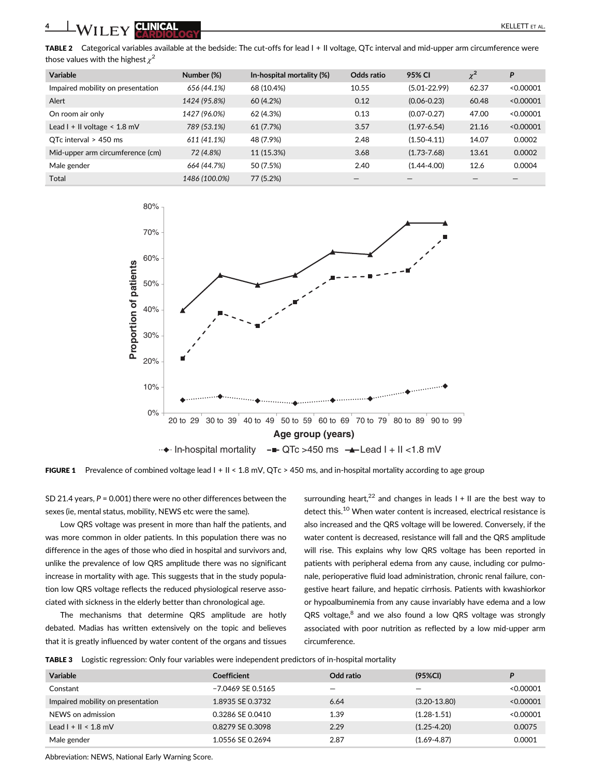4 WILEY CUNCAL **CUNCAL** 

TABLE 2 Categorical variables available at the bedside: The cut-offs for lead I + II voltage, QTc interval and mid-upper arm circumference were those values with the highest  $\chi^2$ 

| <b>Variable</b>                     | Number (%)    | In-hospital mortality (%) | Odds ratio | 95% CI           | $\chi^2$ | P         |
|-------------------------------------|---------------|---------------------------|------------|------------------|----------|-----------|
| Impaired mobility on presentation   | 656 (44.1%)   | 68 (10.4%)                | 10.55      | $(5.01 - 22.99)$ | 62.37    | < 0.00001 |
| Alert                               | 1424 (95.8%)  | 60 (4.2%)                 | 0.12       | $(0.06 - 0.23)$  | 60.48    | < 0.00001 |
| On room air only                    | 1427 (96.0%)  | 62 (4.3%)                 | 0.13       | $(0.07 - 0.27)$  | 47.00    | < 0.00001 |
| Lead $I + II$ voltage $\leq 1.8$ mV | 789 (53.1%)   | 61 (7.7%)                 | 3.57       | $(1.97 - 6.54)$  | 21.16    | < 0.00001 |
| OTc interval $>$ 450 ms             | 611 (41.1%)   | 48 (7.9%)                 | 2.48       | $(1.50 - 4.11)$  | 14.07    | 0.0002    |
| Mid-upper arm circumference (cm)    | 72 (4.8%)     | 11 (15.3%)                | 3.68       | $(1.73 - 7.68)$  | 13.61    | 0.0002    |
| Male gender                         | 664 (44.7%)   | 50 (7.5%)                 | 2.40       | $(1.44 - 4.00)$  | 12.6     | 0.0004    |
| Total                               | 1486 (100.0%) | 77 (5.2%)                 | –          |                  |          |           |



FIGURE 1 Prevalence of combined voltage lead  $1 + 11 < 1.8$  mV, QTc > 450 ms, and in-hospital mortality according to age group

SD 21.4 years,  $P = 0.001$ ) there were no other differences between the sexes (ie, mental status, mobility, NEWS etc were the same).

Low QRS voltage was present in more than half the patients, and was more common in older patients. In this population there was no difference in the ages of those who died in hospital and survivors and, unlike the prevalence of low QRS amplitude there was no significant increase in mortality with age. This suggests that in the study population low QRS voltage reflects the reduced physiological reserve associated with sickness in the elderly better than chronological age.

The mechanisms that determine QRS amplitude are hotly debated. Madias has written extensively on the topic and believes that it is greatly influenced by water content of the organs and tissues

surrounding heart,<sup>22</sup> and changes in leads  $I + II$  are the best way to detect this.<sup>10</sup> When water content is increased, electrical resistance is also increased and the QRS voltage will be lowered. Conversely, if the water content is decreased, resistance will fall and the QRS amplitude will rise. This explains why low QRS voltage has been reported in patients with peripheral edema from any cause, including cor pulmonale, perioperative fluid load administration, chronic renal failure, congestive heart failure, and hepatic cirrhosis. Patients with kwashiorkor or hypoalbuminemia from any cause invariably have edema and a low  $QRS$  voltage, $8$  and we also found a low QRS voltage was strongly associated with poor nutrition as reflected by a low mid-upper arm circumference.

TABLE 3 Logistic regression: Only four variables were independent predictors of in-hospital mortality

| Variable                          | <b>Coefficient</b>  | Odd ratio | $(95\%CI)$       | D         |
|-----------------------------------|---------------------|-----------|------------------|-----------|
| Constant                          | $-7.0469$ SE 0.5165 | -         | –                | < 0.00001 |
| Impaired mobility on presentation | 1.8935 SE 0.3732    | 6.64      | $(3.20 - 13.80)$ | < 0.00001 |
| NEWS on admission                 | 0.3286 SE 0.0410    | 1.39      | $(1.28 - 1.51)$  | < 0.00001 |
| Lead $I + II < 1.8$ mV            | 0.8279 SE 0.3098    | 2.29      | $(1.25 - 4.20)$  | 0.0075    |
| Male gender                       | 1.0556 SE 0.2694    | 2.87      | $(1.69 - 4.87)$  | 0.0001    |

Abbreviation: NEWS, National Early Warning Score.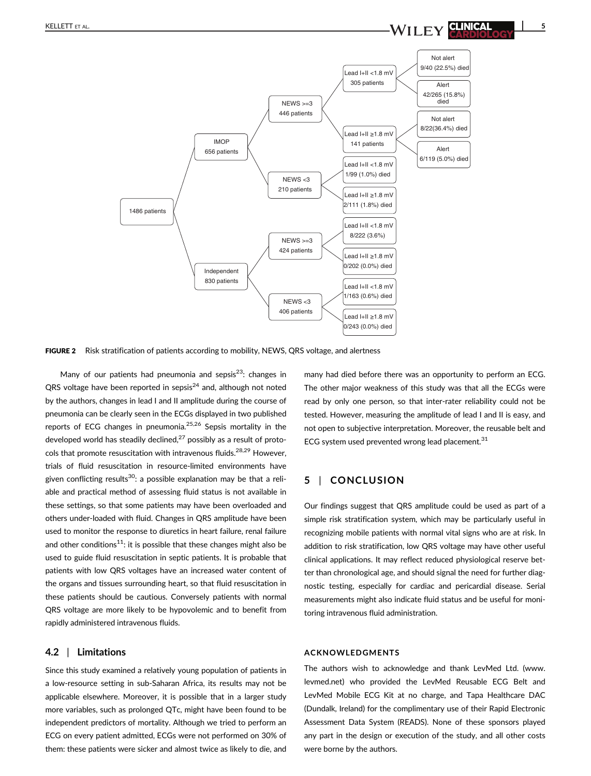

**FIGURE 2** Risk stratification of patients according to mobility, NEWS, QRS voltage, and alertness

Many of our patients had pneumonia and sepsis $^{23}$ : changes in QRS voltage have been reported in sepsis $^{24}$  and, although not noted by the authors, changes in lead I and II amplitude during the course of pneumonia can be clearly seen in the ECGs displayed in two published reports of ECG changes in pneumonia.<sup>25,26</sup> Sepsis mortality in the developed world has steadily declined, $27$  possibly as a result of protocols that promote resuscitation with intravenous fluids.<sup>28,29</sup> However, trials of fluid resuscitation in resource-limited environments have given conflicting results<sup>30</sup>: a possible explanation may be that a reliable and practical method of assessing fluid status is not available in these settings, so that some patients may have been overloaded and others under-loaded with fluid. Changes in QRS amplitude have been used to monitor the response to diuretics in heart failure, renal failure and other conditions<sup>11</sup>: it is possible that these changes might also be used to guide fluid resuscitation in septic patients. It is probable that patients with low QRS voltages have an increased water content of the organs and tissues surrounding heart, so that fluid resuscitation in these patients should be cautious. Conversely patients with normal QRS voltage are more likely to be hypovolemic and to benefit from rapidly administered intravenous fluids.

#### 4.2 | Limitations

Since this study examined a relatively young population of patients in a low-resource setting in sub-Saharan Africa, its results may not be applicable elsewhere. Moreover, it is possible that in a larger study more variables, such as prolonged QTc, might have been found to be independent predictors of mortality. Although we tried to perform an ECG on every patient admitted, ECGs were not performed on 30% of them: these patients were sicker and almost twice as likely to die, and many had died before there was an opportunity to perform an ECG. The other major weakness of this study was that all the ECGs were read by only one person, so that inter-rater reliability could not be tested. However, measuring the amplitude of lead I and II is easy, and not open to subjective interpretation. Moreover, the reusable belt and ECG system used prevented wrong lead placement. $31$ 

### 5 | CONCLUSION

Our findings suggest that QRS amplitude could be used as part of a simple risk stratification system, which may be particularly useful in recognizing mobile patients with normal vital signs who are at risk. In addition to risk stratification, low QRS voltage may have other useful clinical applications. It may reflect reduced physiological reserve better than chronological age, and should signal the need for further diagnostic testing, especially for cardiac and pericardial disease. Serial measurements might also indicate fluid status and be useful for monitoring intravenous fluid administration.

### ACKNOWLEDGMENTS

The authors wish to acknowledge and thank LevMed Ltd. [\(www.](http://www.levmed.net) [levmed.net\)](http://www.levmed.net) who provided the LevMed Reusable ECG Belt and LevMed Mobile ECG Kit at no charge, and Tapa Healthcare DAC (Dundalk, Ireland) for the complimentary use of their Rapid Electronic Assessment Data System (READS). None of these sponsors played any part in the design or execution of the study, and all other costs were borne by the authors.